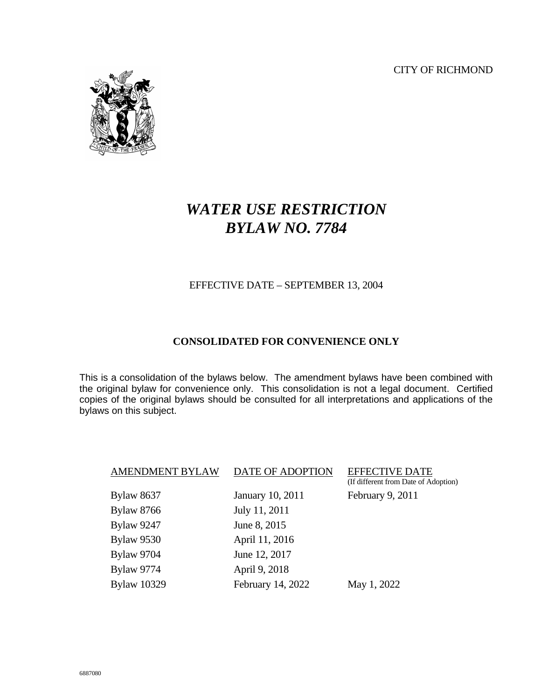CITY OF RICHMOND



# *WATER USE RESTRICTION BYLAW NO. 7784*

#### EFFECTIVE DATE – SEPTEMBER 13, 2004

#### **CONSOLIDATED FOR CONVENIENCE ONLY**

This is a consolidation of the bylaws below. The amendment bylaws have been combined with the original bylaw for convenience only. This consolidation is not a legal document. Certified copies of the original bylaws should be consulted for all interpretations and applications of the bylaws on this subject.

| <b>Bylaw 8637</b><br>January 10, 2011   | February 9, 2011 |
|-----------------------------------------|------------------|
| <b>Bylaw 8766</b><br>July 11, 2011      |                  |
| <b>Bylaw 9247</b><br>June 8, 2015       |                  |
| <b>Bylaw 9530</b><br>April 11, 2016     |                  |
| <b>Bylaw 9704</b><br>June 12, 2017      |                  |
| <b>Bylaw 9774</b><br>April 9, 2018      |                  |
| <b>Bylaw 10329</b><br>February 14, 2022 | May 1, 2022      |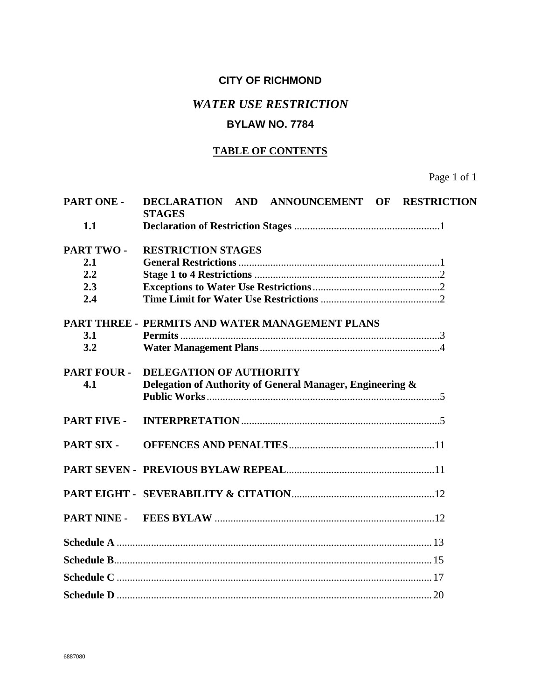## **CITY OF RICHMOND**

### *WATER USE RESTRICTION*

### **BYLAW NO. 7784**

#### **TABLE OF CONTENTS**

Page 1 of 1

| PART ONE -         | DECLARATION AND ANNOUNCEMENT OF RESTRICTION<br><b>STAGES</b> |
|--------------------|--------------------------------------------------------------|
| 1.1                |                                                              |
| PART TWO-          | <b>RESTRICTION STAGES</b>                                    |
| 2.1                |                                                              |
| 2.2                |                                                              |
| 2.3                |                                                              |
| 2.4                |                                                              |
|                    | PART THREE - PERMITS AND WATER MANAGEMENT PLANS              |
| 3.1                |                                                              |
| 3.2                |                                                              |
| <b>PART FOUR -</b> | <b>DELEGATION OF AUTHORITY</b>                               |
| 4.1                | Delegation of Authority of General Manager, Engineering &    |
|                    |                                                              |
| <b>PART FIVE -</b> |                                                              |
| PART SIX -         |                                                              |
|                    |                                                              |
|                    |                                                              |
|                    |                                                              |
|                    |                                                              |
|                    |                                                              |
|                    |                                                              |
|                    |                                                              |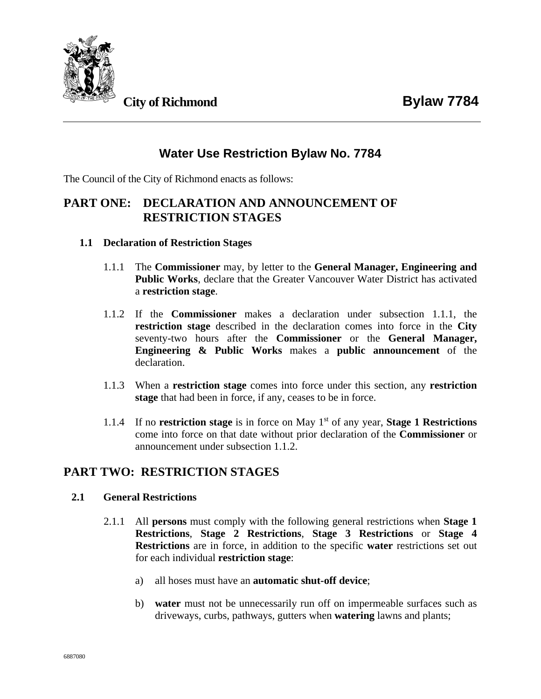



# **Water Use Restriction Bylaw No. 7784**

The Council of the City of Richmond enacts as follows:

### **PART ONE: DECLARATION AND ANNOUNCEMENT OF RESTRICTION STAGES**

- **1.1 Declaration of Restriction Stages**
	- 1.1.1 The **Commissioner** may, by letter to the **General Manager, Engineering and Public Works**, declare that the Greater Vancouver Water District has activated a **restriction stage**.
	- 1.1.2 If the **Commissioner** makes a declaration under subsection 1.1.1, the **restriction stage** described in the declaration comes into force in the **City** seventy-two hours after the **Commissioner** or the **General Manager, Engineering & Public Works** makes a **public announcement** of the declaration.
	- 1.1.3 When a **restriction stage** comes into force under this section, any **restriction stage** that had been in force, if any, ceases to be in force.
	- 1.1.4 If no **restriction stage** is in force on May 1st of any year, **Stage 1 Restrictions** come into force on that date without prior declaration of the **Commissioner** or announcement under subsection 1.1.2.

# **PART TWO: RESTRICTION STAGES**

#### **2.1 General Restrictions**

- 2.1.1 All **persons** must comply with the following general restrictions when **Stage 1 Restrictions**, **Stage 2 Restrictions**, **Stage 3 Restrictions** or **Stage 4 Restrictions** are in force, in addition to the specific **water** restrictions set out for each individual **restriction stage**:
	- a) all hoses must have an **automatic shut-off device**;
	- b) **water** must not be unnecessarily run off on impermeable surfaces such as driveways, curbs, pathways, gutters when **watering** lawns and plants;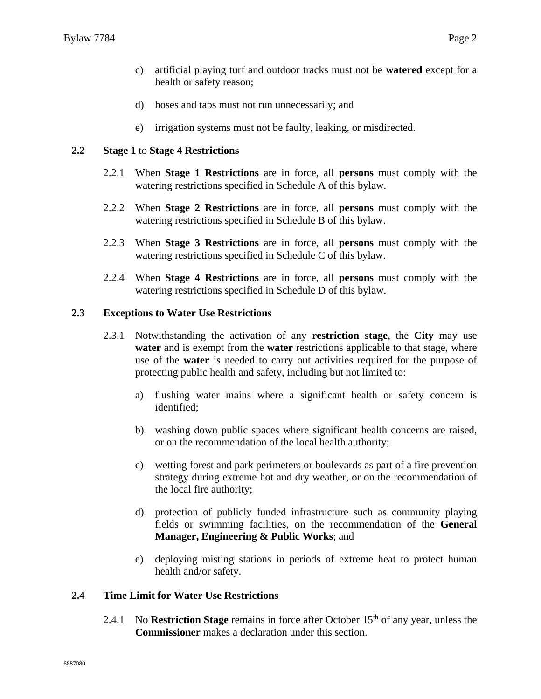- c) artificial playing turf and outdoor tracks must not be **watered** except for a health or safety reason;
- d) hoses and taps must not run unnecessarily; and
- e) irrigation systems must not be faulty, leaking, or misdirected.

#### **2.2 Stage 1** to **Stage 4 Restrictions**

- 2.2.1 When **Stage 1 Restrictions** are in force, all **persons** must comply with the watering restrictions specified in Schedule A of this bylaw.
- 2.2.2 When **Stage 2 Restrictions** are in force, all **persons** must comply with the watering restrictions specified in Schedule B of this bylaw.
- 2.2.3 When **Stage 3 Restrictions** are in force, all **persons** must comply with the watering restrictions specified in Schedule C of this bylaw.
- 2.2.4 When **Stage 4 Restrictions** are in force, all **persons** must comply with the watering restrictions specified in Schedule D of this bylaw.

#### **2.3 Exceptions to Water Use Restrictions**

- 2.3.1 Notwithstanding the activation of any **restriction stage**, the **City** may use **water** and is exempt from the **water** restrictions applicable to that stage, where use of the **water** is needed to carry out activities required for the purpose of protecting public health and safety, including but not limited to:
	- a) flushing water mains where a significant health or safety concern is identified;
	- b) washing down public spaces where significant health concerns are raised, or on the recommendation of the local health authority;
	- c) wetting forest and park perimeters or boulevards as part of a fire prevention strategy during extreme hot and dry weather, or on the recommendation of the local fire authority;
	- d) protection of publicly funded infrastructure such as community playing fields or swimming facilities, on the recommendation of the **General Manager, Engineering & Public Works**; and
	- e) deploying misting stations in periods of extreme heat to protect human health and/or safety.

#### **2.4 Time Limit for Water Use Restrictions**

2.4.1 No **Restriction Stage** remains in force after October 15<sup>th</sup> of any year, unless the **Commissioner** makes a declaration under this section.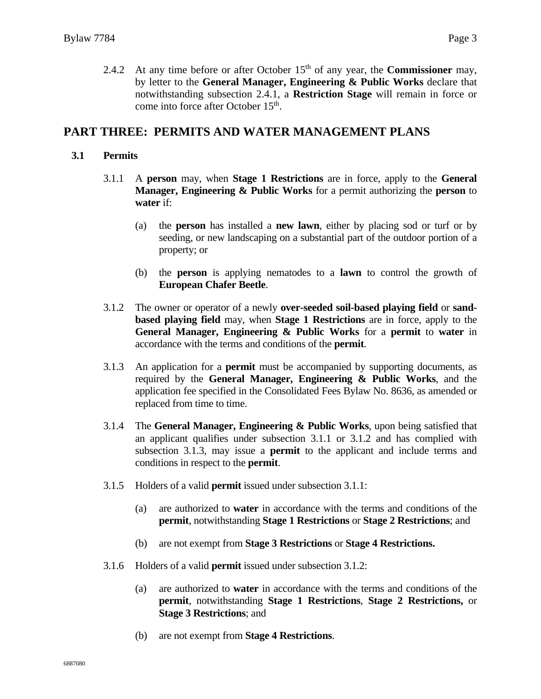2.4.2 At any time before or after October 15<sup>th</sup> of any year, the **Commissioner** may, by letter to the **General Manager, Engineering & Public Works** declare that notwithstanding subsection 2.4.1, a **Restriction Stage** will remain in force or come into force after October 15<sup>th</sup>.

### **PART THREE: PERMITS AND WATER MANAGEMENT PLANS**

#### **3.1 Permits**

- 3.1.1 A **person** may, when **Stage 1 Restrictions** are in force, apply to the **General Manager, Engineering & Public Works** for a permit authorizing the **person** to **water** if:
	- (a) the **person** has installed a **new lawn**, either by placing sod or turf or by seeding, or new landscaping on a substantial part of the outdoor portion of a property; or
	- (b) the **person** is applying nematodes to a **lawn** to control the growth of **European Chafer Beetle**.
- 3.1.2 The owner or operator of a newly **over-seeded soil-based playing field** or **sandbased playing field** may, when **Stage 1 Restrictions** are in force, apply to the **General Manager, Engineering & Public Works** for a **permit** to **water** in accordance with the terms and conditions of the **permit**.
- 3.1.3 An application for a **permit** must be accompanied by supporting documents, as required by the **General Manager, Engineering & Public Works**, and the application fee specified in the Consolidated Fees Bylaw No. 8636, as amended or replaced from time to time.
- 3.1.4 The **General Manager, Engineering & Public Works**, upon being satisfied that an applicant qualifies under subsection 3.1.1 or 3.1.2 and has complied with subsection 3.1.3, may issue a **permit** to the applicant and include terms and conditions in respect to the **permit**.
- 3.1.5 Holders of a valid **permit** issued under subsection 3.1.1:
	- (a) are authorized to **water** in accordance with the terms and conditions of the **permit**, notwithstanding **Stage 1 Restrictions** or **Stage 2 Restrictions**; and
	- (b) are not exempt from **Stage 3 Restrictions** or **Stage 4 Restrictions.**
- 3.1.6 Holders of a valid **permit** issued under subsection 3.1.2:
	- (a) are authorized to **water** in accordance with the terms and conditions of the **permit**, notwithstanding **Stage 1 Restrictions**, **Stage 2 Restrictions,** or **Stage 3 Restrictions**; and
	- (b) are not exempt from **Stage 4 Restrictions**.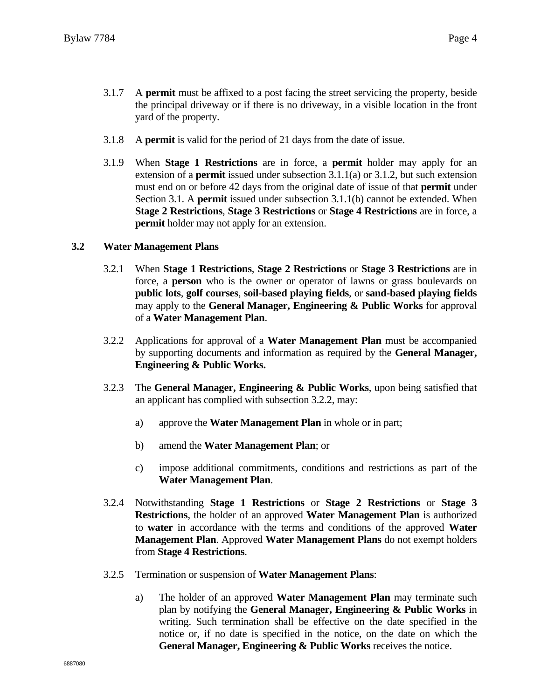- 3.1.7 A **permit** must be affixed to a post facing the street servicing the property, beside the principal driveway or if there is no driveway, in a visible location in the front yard of the property.
- 3.1.8 A **permit** is valid for the period of 21 days from the date of issue.
- 3.1.9 When **Stage 1 Restrictions** are in force, a **permit** holder may apply for an extension of a **permit** issued under subsection 3.1.1(a) or 3.1.2, but such extension must end on or before 42 days from the original date of issue of that **permit** under Section 3.1. A **permit** issued under subsection 3.1.1(b) cannot be extended. When **Stage 2 Restrictions**, **Stage 3 Restrictions** or **Stage 4 Restrictions** are in force, a **permit** holder may not apply for an extension.

#### **3.2 Water Management Plans**

- 3.2.1 When **Stage 1 Restrictions**, **Stage 2 Restrictions** or **Stage 3 Restrictions** are in force, a **person** who is the owner or operator of lawns or grass boulevards on **public lots**, **golf courses**, **soil-based playing fields**, or **sand-based playing fields** may apply to the **General Manager, Engineering & Public Works** for approval of a **Water Management Plan**.
- 3.2.2 Applications for approval of a **Water Management Plan** must be accompanied by supporting documents and information as required by the **General Manager, Engineering & Public Works.**
- 3.2.3 The **General Manager, Engineering & Public Works**, upon being satisfied that an applicant has complied with subsection 3.2.2, may:
	- a) approve the **Water Management Plan** in whole or in part;
	- b) amend the **Water Management Plan**; or
	- c) impose additional commitments, conditions and restrictions as part of the **Water Management Plan**.
- 3.2.4 Notwithstanding **Stage 1 Restrictions** or **Stage 2 Restrictions** or **Stage 3 Restrictions**, the holder of an approved **Water Management Plan** is authorized to **water** in accordance with the terms and conditions of the approved **Water Management Plan**. Approved **Water Management Plans** do not exempt holders from **Stage 4 Restrictions**.
- 3.2.5 Termination or suspension of **Water Management Plans**:
	- a) The holder of an approved **Water Management Plan** may terminate such plan by notifying the **General Manager, Engineering & Public Works** in writing. Such termination shall be effective on the date specified in the notice or, if no date is specified in the notice, on the date on which the **General Manager, Engineering & Public Works** receives the notice.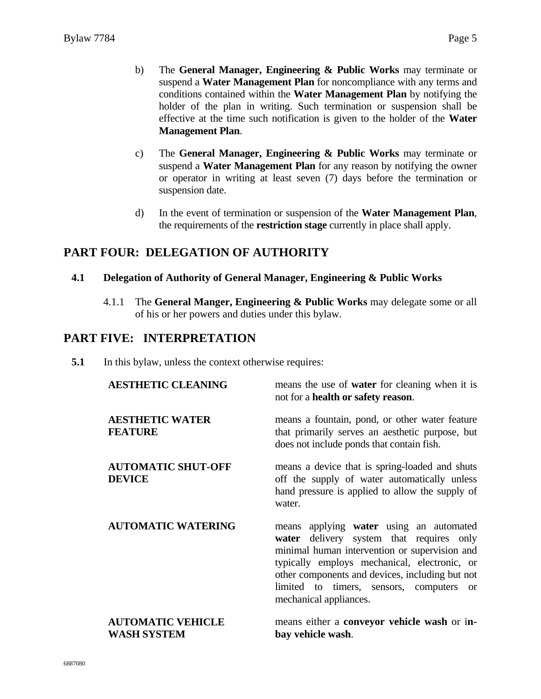- b) The **General Manager, Engineering & Public Works** may terminate or suspend a **Water Management Plan** for noncompliance with any terms and conditions contained within the **Water Management Plan** by notifying the holder of the plan in writing. Such termination or suspension shall be effective at the time such notification is given to the holder of the **Water Management Plan**.
- c) The **General Manager, Engineering & Public Works** may terminate or suspend a **Water Management Plan** for any reason by notifying the owner or operator in writing at least seven (7) days before the termination or suspension date.
- d) In the event of termination or suspension of the **Water Management Plan**, the requirements of the **restriction stage** currently in place shall apply.

### **PART FOUR: DELEGATION OF AUTHORITY**

#### **4.1 Delegation of Authority of General Manager, Engineering & Public Works**

4.1.1 The **General Manger, Engineering & Public Works** may delegate some or all of his or her powers and duties under this bylaw.

### **PART FIVE: INTERPRETATION**

**5.1** In this bylaw, unless the context otherwise requires:

| <b>AESTHETIC CLEANING</b>                      | means the use of <b>water</b> for cleaning when it is<br>not for a health or safety reason.                                                                                                                                                                                                                                 |
|------------------------------------------------|-----------------------------------------------------------------------------------------------------------------------------------------------------------------------------------------------------------------------------------------------------------------------------------------------------------------------------|
| <b>AESTHETIC WATER</b><br><b>FEATURE</b>       | means a fountain, pond, or other water feature<br>that primarily serves an aesthetic purpose, but<br>does not include ponds that contain fish.                                                                                                                                                                              |
| <b>AUTOMATIC SHUT-OFF</b><br><b>DEVICE</b>     | means a device that is spring-loaded and shuts<br>off the supply of water automatically unless<br>hand pressure is applied to allow the supply of<br>water.                                                                                                                                                                 |
| <b>AUTOMATIC WATERING</b>                      | means applying water using an automated<br>water delivery system that requires only<br>minimal human intervention or supervision and<br>typically employs mechanical, electronic, or<br>other components and devices, including but not<br>limited to timers, sensors, computers<br><sub>or</sub><br>mechanical appliances. |
| <b>AUTOMATIC VEHICLE</b><br><b>WASH SYSTEM</b> | means either a conveyor vehicle wash or in-<br>bay vehicle wash.                                                                                                                                                                                                                                                            |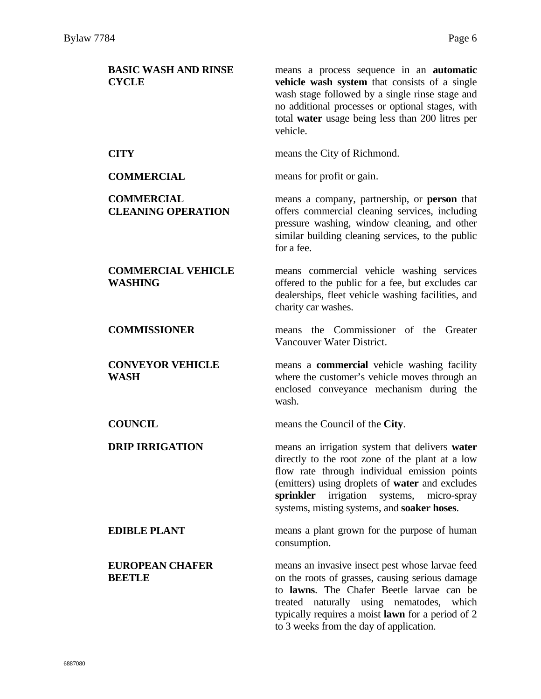| <b>BASIC WASH AND RINSE</b><br><b>CYCLE</b>    | means a process sequence in an <b>automatic</b><br>vehicle wash system that consists of a single<br>wash stage followed by a single rinse stage and<br>no additional processes or optional stages, with<br>total water usage being less than 200 litres per<br>vehicle.                                |
|------------------------------------------------|--------------------------------------------------------------------------------------------------------------------------------------------------------------------------------------------------------------------------------------------------------------------------------------------------------|
| <b>CITY</b>                                    | means the City of Richmond.                                                                                                                                                                                                                                                                            |
| <b>COMMERCIAL</b>                              | means for profit or gain.                                                                                                                                                                                                                                                                              |
| <b>COMMERCIAL</b><br><b>CLEANING OPERATION</b> | means a company, partnership, or <b>person</b> that<br>offers commercial cleaning services, including<br>pressure washing, window cleaning, and other<br>similar building cleaning services, to the public<br>for a fee.                                                                               |
| <b>COMMERCIAL VEHICLE</b><br><b>WASHING</b>    | means commercial vehicle washing services<br>offered to the public for a fee, but excludes car<br>dealerships, fleet vehicle washing facilities, and<br>charity car washes.                                                                                                                            |
| <b>COMMISSIONER</b>                            | means the Commissioner of the Greater<br>Vancouver Water District.                                                                                                                                                                                                                                     |
| <b>CONVEYOR VEHICLE</b><br>WASH                | means a <b>commercial</b> vehicle washing facility<br>where the customer's vehicle moves through an<br>enclosed conveyance mechanism during the<br>wash.                                                                                                                                               |
| <b>COUNCIL</b>                                 | means the Council of the City.                                                                                                                                                                                                                                                                         |
| <b>DRIP IRRIGATION</b>                         | means an irrigation system that delivers water<br>directly to the root zone of the plant at a low<br>flow rate through individual emission points<br>(emitters) using droplets of water and excludes<br>sprinkler irrigation<br>systems,<br>micro-spray<br>systems, misting systems, and soaker hoses. |
| <b>EDIBLE PLANT</b>                            | means a plant grown for the purpose of human<br>consumption.                                                                                                                                                                                                                                           |
| <b>EUROPEAN CHAFER</b><br><b>BEETLE</b>        | means an invasive insect pest whose larvae feed<br>on the roots of grasses, causing serious damage<br>to lawns. The Chafer Beetle larvae can be<br>treated naturally using nematodes,<br>which<br>typically requires a moist lawn for a period of 2<br>to 3 weeks from the day of application.         |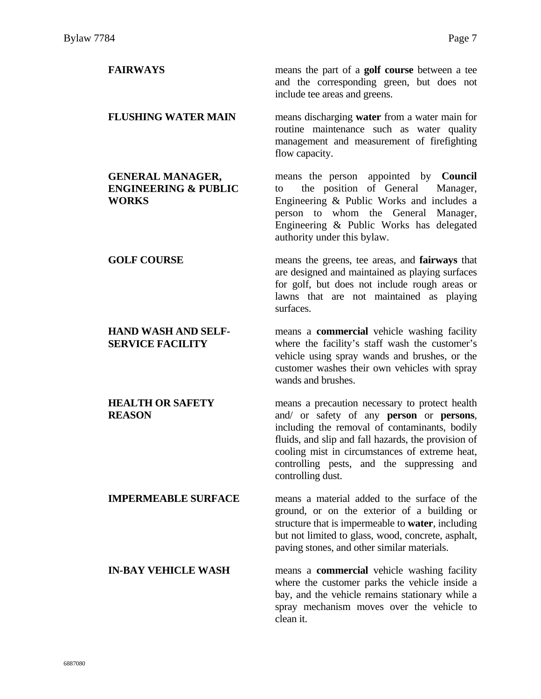| <b>FAIRWAYS</b>                                                            | means the part of a <b>golf course</b> between a tee<br>and the corresponding green, but does not<br>include tee areas and greens.                                                                                                                                                                                      |
|----------------------------------------------------------------------------|-------------------------------------------------------------------------------------------------------------------------------------------------------------------------------------------------------------------------------------------------------------------------------------------------------------------------|
| <b>FLUSHING WATER MAIN</b>                                                 | means discharging water from a water main for<br>routine maintenance such as water quality<br>management and measurement of firefighting<br>flow capacity.                                                                                                                                                              |
| <b>GENERAL MANAGER,</b><br><b>ENGINEERING &amp; PUBLIC</b><br><b>WORKS</b> | means the person appointed by <b>Council</b><br>the position of General<br>Manager,<br>to<br>Engineering & Public Works and includes a<br>person to whom the General Manager,<br>Engineering & Public Works has delegated<br>authority under this bylaw.                                                                |
| <b>GOLF COURSE</b>                                                         | means the greens, tee areas, and <b>fairways</b> that<br>are designed and maintained as playing surfaces<br>for golf, but does not include rough areas or<br>lawns that are not maintained as playing<br>surfaces.                                                                                                      |
| <b>HAND WASH AND SELF-</b><br><b>SERVICE FACILITY</b>                      | means a <b>commercial</b> vehicle washing facility<br>where the facility's staff wash the customer's<br>vehicle using spray wands and brushes, or the<br>customer washes their own vehicles with spray<br>wands and brushes.                                                                                            |
| <b>HEALTH OR SAFETY</b><br><b>REASON</b>                                   | means a precaution necessary to protect health<br>and/ or safety of any person or persons,<br>including the removal of contaminants, bodily<br>fluids, and slip and fall hazards, the provision of<br>cooling mist in circumstances of extreme heat,<br>controlling pests, and the suppressing and<br>controlling dust. |
| <b>IMPERMEABLE SURFACE</b>                                                 | means a material added to the surface of the<br>ground, or on the exterior of a building or<br>structure that is impermeable to <b>water</b> , including<br>but not limited to glass, wood, concrete, asphalt,<br>paving stones, and other similar materials.                                                           |
| <b>IN-BAY VEHICLE WASH</b>                                                 | means a <b>commercial</b> vehicle washing facility<br>where the customer parks the vehicle inside a<br>bay, and the vehicle remains stationary while a<br>spray mechanism moves over the vehicle to<br>clean it.                                                                                                        |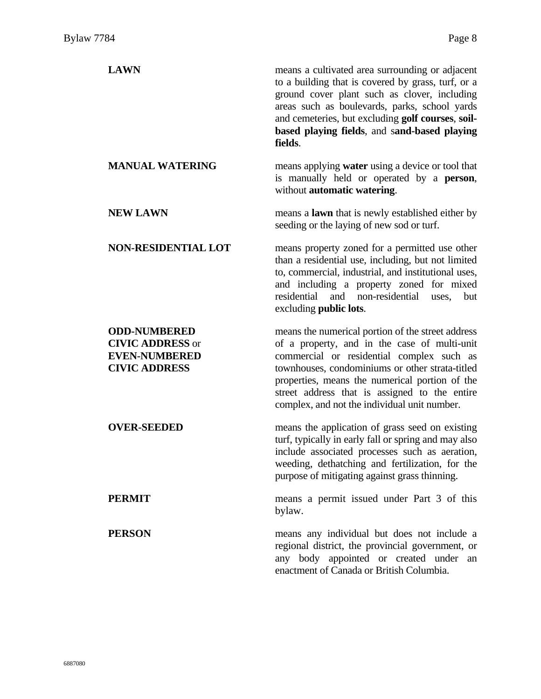| <b>LAWN</b>                                                                                    | means a cultivated area surrounding or adjacent<br>to a building that is covered by grass, turf, or a<br>ground cover plant such as clover, including<br>areas such as boulevards, parks, school yards<br>and cemeteries, but excluding golf courses, soil-<br>based playing fields, and sand-based playing<br>fields.                               |
|------------------------------------------------------------------------------------------------|------------------------------------------------------------------------------------------------------------------------------------------------------------------------------------------------------------------------------------------------------------------------------------------------------------------------------------------------------|
| <b>MANUAL WATERING</b>                                                                         | means applying <b>water</b> using a device or tool that<br>is manually held or operated by a person,<br>without automatic watering.                                                                                                                                                                                                                  |
| <b>NEW LAWN</b>                                                                                | means a <b>lawn</b> that is newly established either by<br>seeding or the laying of new sod or turf.                                                                                                                                                                                                                                                 |
| <b>NON-RESIDENTIAL LOT</b>                                                                     | means property zoned for a permitted use other<br>than a residential use, including, but not limited<br>to, commercial, industrial, and institutional uses,<br>and including a property zoned for mixed<br>residential<br>and non-residential<br>but<br>uses,<br>excluding <b>public</b> lots.                                                       |
| <b>ODD-NUMBERED</b><br><b>CIVIC ADDRESS or</b><br><b>EVEN-NUMBERED</b><br><b>CIVIC ADDRESS</b> | means the numerical portion of the street address<br>of a property, and in the case of multi-unit<br>commercial or residential complex such as<br>townhouses, condominiums or other strata-titled<br>properties, means the numerical portion of the<br>street address that is assigned to the entire<br>complex, and not the individual unit number. |
| <b>OVER-SEEDED</b>                                                                             | means the application of grass seed on existing<br>turf, typically in early fall or spring and may also<br>include associated processes such as aeration,<br>weeding, dethatching and fertilization, for the<br>purpose of mitigating against grass thinning.                                                                                        |
| <b>PERMIT</b>                                                                                  | means a permit issued under Part 3 of this<br>bylaw.                                                                                                                                                                                                                                                                                                 |
| <b>PERSON</b>                                                                                  | means any individual but does not include a<br>regional district, the provincial government, or<br>any body appointed or created under an<br>enactment of Canada or British Columbia.                                                                                                                                                                |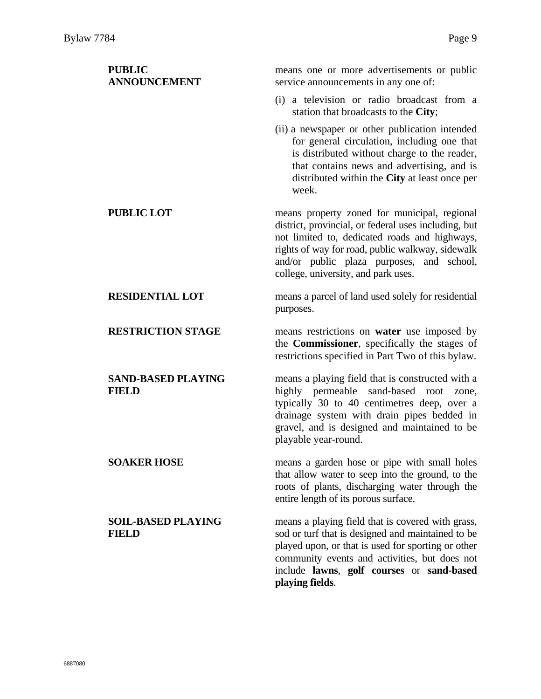| <b>PUBLIC</b><br><b>ANNOUNCEMENT</b>      | means one or more advertisements or public<br>service announcements in any one of:                                                                                                                                                                                                            |
|-------------------------------------------|-----------------------------------------------------------------------------------------------------------------------------------------------------------------------------------------------------------------------------------------------------------------------------------------------|
|                                           | (i) a television or radio broadcast from a<br>station that broadcasts to the City;                                                                                                                                                                                                            |
|                                           | (ii) a newspaper or other publication intended<br>for general circulation, including one that<br>is distributed without charge to the reader,<br>that contains news and advertising, and is<br>distributed within the City at least once per<br>week.                                         |
| <b>PUBLIC LOT</b>                         | means property zoned for municipal, regional<br>district, provincial, or federal uses including, but<br>not limited to, dedicated roads and highways,<br>rights of way for road, public walkway, sidewalk<br>and/or public plaza purposes, and school,<br>college, university, and park uses. |
| <b>RESIDENTIAL LOT</b>                    | means a parcel of land used solely for residential<br>purposes.                                                                                                                                                                                                                               |
| <b>RESTRICTION STAGE</b>                  | means restrictions on <b>water</b> use imposed by<br>the <b>Commissioner</b> , specifically the stages of<br>restrictions specified in Part Two of this bylaw.                                                                                                                                |
| <b>SAND-BASED PLAYING</b><br><b>FIELD</b> | means a playing field that is constructed with a<br>highly permeable sand-based root<br>zone,<br>typically 30 to 40 centimetres deep, over a<br>drainage system with drain pipes bedded in<br>gravel, and is designed and maintained to be<br>playable year-round.                            |
| <b>SOAKER HOSE</b>                        | means a garden hose or pipe with small holes<br>that allow water to seep into the ground, to the<br>roots of plants, discharging water through the<br>entire length of its porous surface.                                                                                                    |
| <b>SOIL-BASED PLAYING</b><br><b>FIELD</b> | means a playing field that is covered with grass,<br>sod or turf that is designed and maintained to be<br>played upon, or that is used for sporting or other<br>community events and activities, but does not<br>include lawns, golf courses or sand-based<br>playing fields.                 |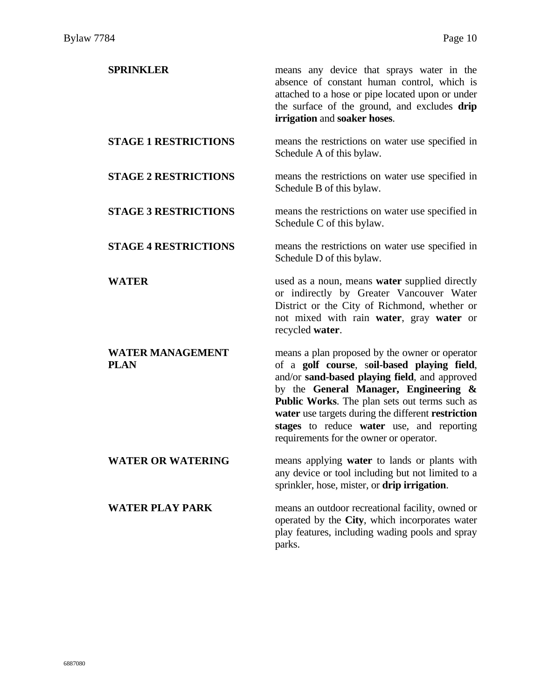| <b>SPRINKLER</b>                       | means any device that sprays water in the<br>absence of constant human control, which is<br>attached to a hose or pipe located upon or under<br>the surface of the ground, and excludes drip<br>irrigation and soaker hoses.                                                                                                                                                           |
|----------------------------------------|----------------------------------------------------------------------------------------------------------------------------------------------------------------------------------------------------------------------------------------------------------------------------------------------------------------------------------------------------------------------------------------|
| <b>STAGE 1 RESTRICTIONS</b>            | means the restrictions on water use specified in<br>Schedule A of this bylaw.                                                                                                                                                                                                                                                                                                          |
| <b>STAGE 2 RESTRICTIONS</b>            | means the restrictions on water use specified in<br>Schedule B of this bylaw.                                                                                                                                                                                                                                                                                                          |
| <b>STAGE 3 RESTRICTIONS</b>            | means the restrictions on water use specified in<br>Schedule C of this bylaw.                                                                                                                                                                                                                                                                                                          |
| <b>STAGE 4 RESTRICTIONS</b>            | means the restrictions on water use specified in<br>Schedule D of this bylaw.                                                                                                                                                                                                                                                                                                          |
| <b>WATER</b>                           | used as a noun, means <b>water</b> supplied directly<br>or indirectly by Greater Vancouver Water<br>District or the City of Richmond, whether or<br>not mixed with rain water, gray water or<br>recycled water.                                                                                                                                                                        |
| <b>WATER MANAGEMENT</b><br><b>PLAN</b> | means a plan proposed by the owner or operator<br>of a golf course, soil-based playing field,<br>and/or sand-based playing field, and approved<br>by the General Manager, Engineering &<br>Public Works. The plan sets out terms such as<br>water use targets during the different restriction<br>stages to reduce water use, and reporting<br>requirements for the owner or operator. |
| <b>WATER OR WATERING</b>               | means applying water to lands or plants with<br>any device or tool including but not limited to a<br>sprinkler, hose, mister, or drip irrigation.                                                                                                                                                                                                                                      |
| <b>WATER PLAY PARK</b>                 | means an outdoor recreational facility, owned or<br>operated by the City, which incorporates water<br>play features, including wading pools and spray<br>parks.                                                                                                                                                                                                                        |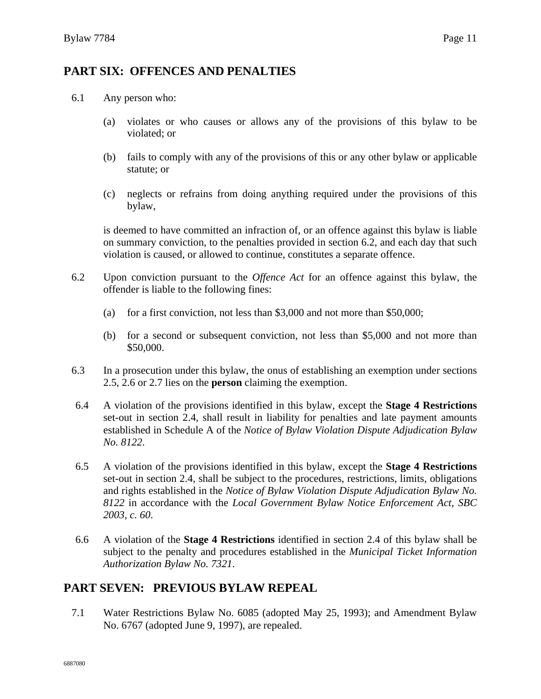### **PART SIX: OFFENCES AND PENALTIES**

- 6.1 Any person who:
	- (a) violates or who causes or allows any of the provisions of this bylaw to be violated; or
	- (b) fails to comply with any of the provisions of this or any other bylaw or applicable statute; or
	- (c) neglects or refrains from doing anything required under the provisions of this bylaw,

is deemed to have committed an infraction of, or an offence against this bylaw is liable on summary conviction, to the penalties provided in section 6.2, and each day that such violation is caused, or allowed to continue, constitutes a separate offence.

- 6.2 Upon conviction pursuant to the *Offence Act* for an offence against this bylaw, the offender is liable to the following fines:
	- (a) for a first conviction, not less than \$3,000 and not more than \$50,000;
	- (b) for a second or subsequent conviction, not less than \$5,000 and not more than \$50,000.
- 6.3 In a prosecution under this bylaw, the onus of establishing an exemption under sections 2.5, 2.6 or 2.7 lies on the **person** claiming the exemption.
- 6.4 A violation of the provisions identified in this bylaw, except the **Stage 4 Restrictions**  set-out in section 2.4, shall result in liability for penalties and late payment amounts established in Schedule A of the *Notice of Bylaw Violation Dispute Adjudication Bylaw No. 8122*.
- 6.5 A violation of the provisions identified in this bylaw, except the **Stage 4 Restrictions** set-out in section 2.4, shall be subject to the procedures, restrictions, limits, obligations and rights established in the *Notice of Bylaw Violation Dispute Adjudication Bylaw No. 8122* in accordance with the *Local Government Bylaw Notice Enforcement Act, SBC 2003, c. 60*.
- 6.6 A violation of the **Stage 4 Restrictions** identified in section 2.4 of this bylaw shall be subject to the penalty and procedures established in the *Municipal Ticket Information Authorization Bylaw No. 7321*.

### **PART SEVEN: PREVIOUS BYLAW REPEAL**

7.1 Water Restrictions Bylaw No. 6085 (adopted May 25, 1993); and Amendment Bylaw No. 6767 (adopted June 9, 1997), are repealed.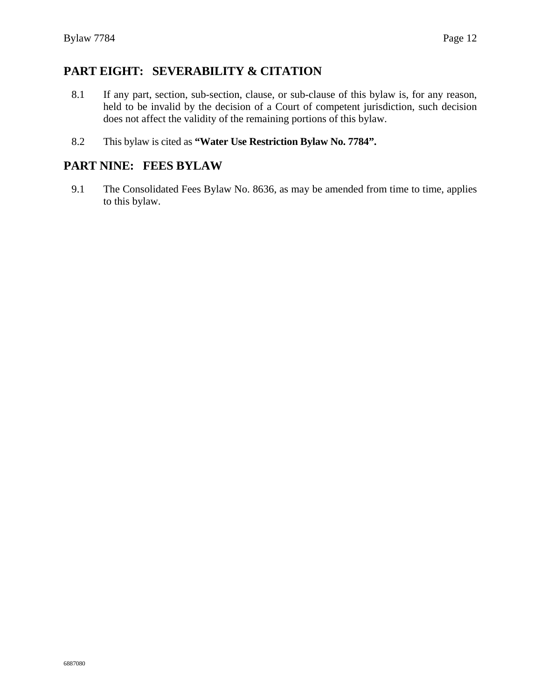### **PART EIGHT: SEVERABILITY & CITATION**

- 8.1 If any part, section, sub-section, clause, or sub-clause of this bylaw is, for any reason, held to be invalid by the decision of a Court of competent jurisdiction, such decision does not affect the validity of the remaining portions of this bylaw.
- 8.2 This bylaw is cited as **"Water Use Restriction Bylaw No. 7784".**

### **PART NINE: FEES BYLAW**

9.1 The Consolidated Fees Bylaw No. 8636, as may be amended from time to time, applies to this bylaw.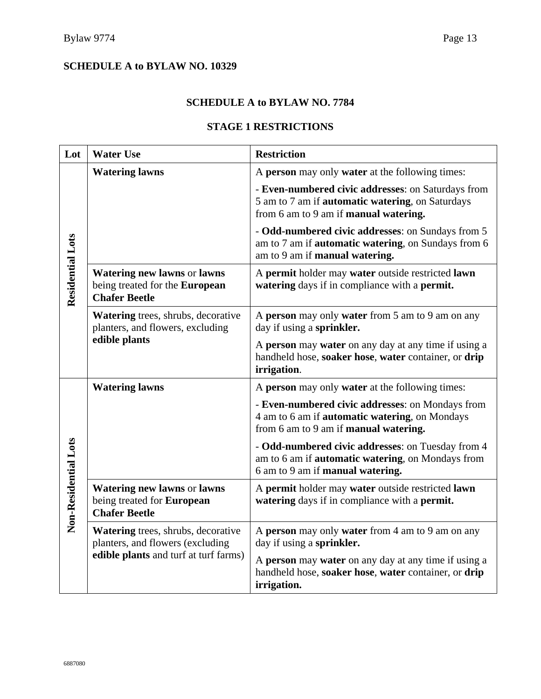#### **SCHEDULE A to BYLAW NO. 7784**

#### **STAGE 1 RESTRICTIONS**

| Lot                  | <b>Water Use</b>                                                                             | <b>Restriction</b>                                                                                                                                         |
|----------------------|----------------------------------------------------------------------------------------------|------------------------------------------------------------------------------------------------------------------------------------------------------------|
|                      | <b>Watering lawns</b>                                                                        | A person may only water at the following times:                                                                                                            |
|                      |                                                                                              | - Even-numbered civic addresses: on Saturdays from<br>5 am to 7 am if automatic watering, on Saturdays<br>from 6 am to 9 am if manual watering.            |
|                      |                                                                                              | - Odd-numbered civic addresses: on Sundays from 5<br>am to 7 am if <b>automatic watering</b> , on Sundays from 6<br>am to 9 am if manual watering.         |
| Residential Lots     | <b>Watering new lawns or lawns</b><br>being treated for the European<br><b>Chafer Beetle</b> | A permit holder may water outside restricted lawn<br>watering days if in compliance with a permit.                                                         |
|                      | <b>Watering trees, shrubs, decorative</b><br>planters, and flowers, excluding                | A person may only water from 5 am to 9 am on any<br>day if using a sprinkler.                                                                              |
|                      | edible plants                                                                                | A person may water on any day at any time if using a<br>handheld hose, soaker hose, water container, or drip<br>irrigation.                                |
|                      | <b>Watering lawns</b>                                                                        | A person may only water at the following times:                                                                                                            |
|                      |                                                                                              | - Even-numbered civic addresses: on Mondays from<br>4 am to 6 am if <b>automatic watering</b> , on Mondays<br>from 6 am to 9 am if <b>manual watering.</b> |
|                      |                                                                                              | - Odd-numbered civic addresses: on Tuesday from 4<br>am to 6 am if <b>automatic watering</b> , on Mondays from<br>6 am to 9 am if manual watering.         |
| Non-Residential Lots | <b>Watering new lawns or lawns</b><br>being treated for European<br><b>Chafer Beetle</b>     | A permit holder may water outside restricted lawn<br>watering days if in compliance with a permit.                                                         |
|                      | Watering trees, shrubs, decorative<br>planters, and flowers (excluding                       | A person may only water from 4 am to 9 am on any<br>day if using a sprinkler.                                                                              |
|                      | edible plants and turf at turf farms)                                                        | A person may water on any day at any time if using a<br>handheld hose, soaker hose, water container, or drip<br>irrigation.                                |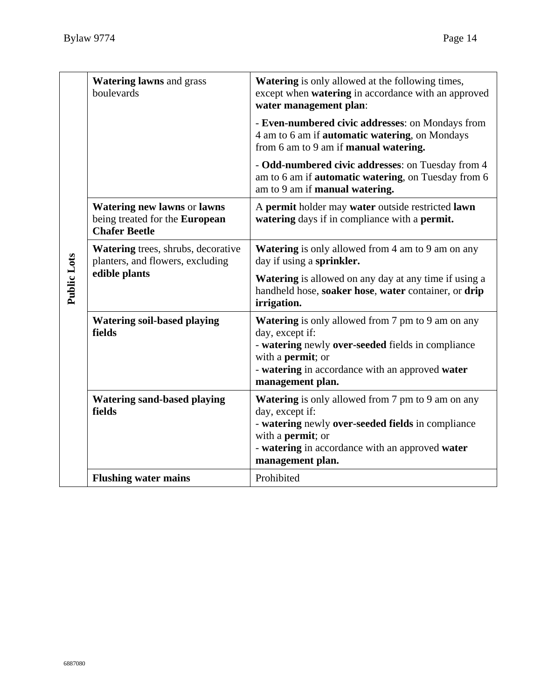| Public Lots | <b>Watering lawns and grass</b><br>boulevards                                                | <b>Watering</b> is only allowed at the following times,<br>except when watering in accordance with an approved<br>water management plan:                                                                                             |
|-------------|----------------------------------------------------------------------------------------------|--------------------------------------------------------------------------------------------------------------------------------------------------------------------------------------------------------------------------------------|
|             |                                                                                              | - Even-numbered civic addresses: on Mondays from<br>4 am to 6 am if <b>automatic watering</b> , on Mondays<br>from 6 am to 9 am if <b>manual watering.</b>                                                                           |
|             |                                                                                              | - Odd-numbered civic addresses: on Tuesday from 4<br>am to 6 am if <b>automatic watering</b> , on Tuesday from 6<br>am to 9 am if manual watering.                                                                                   |
|             | <b>Watering new lawns or lawns</b><br>being treated for the European<br><b>Chafer Beetle</b> | A permit holder may water outside restricted lawn<br>watering days if in compliance with a permit.                                                                                                                                   |
|             | <b>Watering trees, shrubs, decorative</b><br>planters, and flowers, excluding                | Watering is only allowed from 4 am to 9 am on any<br>day if using a sprinkler.                                                                                                                                                       |
|             | edible plants                                                                                | <b>Watering</b> is allowed on any day at any time if using a<br>handheld hose, soaker hose, water container, or drip<br>irrigation.                                                                                                  |
|             | <b>Watering soil-based playing</b><br>fields                                                 | <b>Watering</b> is only allowed from 7 pm to 9 am on any<br>day, except if:<br>- watering newly over-seeded fields in compliance<br>with a <b>permit</b> ; or<br>- watering in accordance with an approved water<br>management plan. |
|             | <b>Watering sand-based playing</b><br>fields                                                 | <b>Watering</b> is only allowed from 7 pm to 9 am on any<br>day, except if:<br>- watering newly over-seeded fields in compliance<br>with a <b>permit</b> ; or<br>- watering in accordance with an approved water<br>management plan. |
|             | <b>Flushing water mains</b>                                                                  | Prohibited                                                                                                                                                                                                                           |
|             |                                                                                              |                                                                                                                                                                                                                                      |
| 6887080     |                                                                                              |                                                                                                                                                                                                                                      |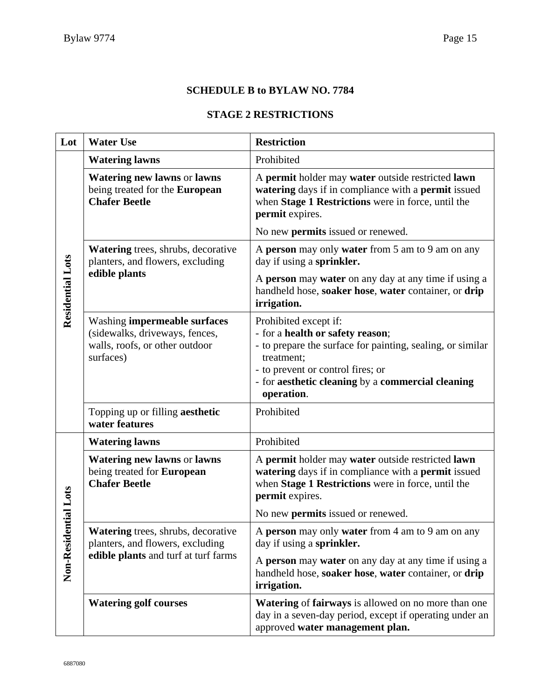#### **SCHEDULE B to BYLAW NO. 7784**

### **STAGE 2 RESTRICTIONS**

| Lot               | <b>Water Use</b>                                                                                              | <b>Restriction</b>                                                                                                                                                                                                                            |
|-------------------|---------------------------------------------------------------------------------------------------------------|-----------------------------------------------------------------------------------------------------------------------------------------------------------------------------------------------------------------------------------------------|
|                   | <b>Watering lawns</b>                                                                                         | Prohibited                                                                                                                                                                                                                                    |
|                   | Watering new lawns or lawns<br>being treated for the European<br><b>Chafer Beetle</b>                         | A permit holder may water outside restricted lawn<br>watering days if in compliance with a permit issued<br>when Stage 1 Restrictions were in force, until the<br>permit expires.                                                             |
|                   |                                                                                                               | No new <b>permits</b> issued or renewed.                                                                                                                                                                                                      |
| Residential Lots  | Watering trees, shrubs, decorative<br>planters, and flowers, excluding                                        | A person may only water from 5 am to 9 am on any<br>day if using a sprinkler.                                                                                                                                                                 |
|                   | edible plants                                                                                                 | A person may water on any day at any time if using a<br>handheld hose, soaker hose, water container, or drip<br>irrigation.                                                                                                                   |
|                   | Washing impermeable surfaces<br>(sidewalks, driveways, fences,<br>walls, roofs, or other outdoor<br>surfaces) | Prohibited except if:<br>- for a health or safety reason;<br>- to prepare the surface for painting, sealing, or similar<br>treatment;<br>- to prevent or control fires; or<br>- for aesthetic cleaning by a commercial cleaning<br>operation. |
|                   | Topping up or filling aesthetic<br>water features                                                             | Prohibited                                                                                                                                                                                                                                    |
|                   | <b>Watering lawns</b>                                                                                         | Prohibited                                                                                                                                                                                                                                    |
|                   | Watering new lawns or lawns<br>being treated for European<br><b>Chafer Beetle</b>                             | A permit holder may water outside restricted lawn<br>watering days if in compliance with a permit issued<br>when Stage 1 Restrictions were in force, until the<br>permit expires.                                                             |
| <b>itial</b> Lots |                                                                                                               | No new <b>permits</b> issued or renewed.                                                                                                                                                                                                      |
|                   | Watering trees, shrubs, decorative<br>planters, and flowers, excluding                                        | A person may only water from 4 am to 9 am on any<br>day if using a sprinkler.                                                                                                                                                                 |
| Non-Resider       | edible plants and turf at turf farms                                                                          | A person may water on any day at any time if using a<br>handheld hose, soaker hose, water container, or drip<br>irrigation.                                                                                                                   |
|                   | <b>Watering golf courses</b>                                                                                  | Watering of fairways is allowed on no more than one<br>day in a seven-day period, except if operating under an<br>approved water management plan.                                                                                             |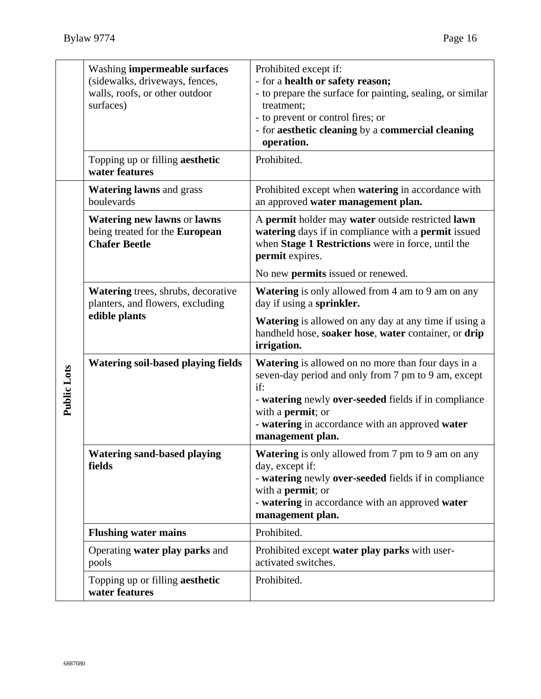|                    | <b>Washing impermeable surfaces</b><br>(sidewalks, driveways, fences,<br>walls, roofs, or other outdoor<br>surfaces)<br>Topping up or filling aesthetic | Prohibited except if:<br>- for a health or safety reason;<br>- to prepare the surface for painting, sealing, or similar<br>treatment;<br>- to prevent or control fires; or<br>- for aesthetic cleaning by a commercial cleaning<br>operation.<br>Prohibited.                        |
|--------------------|---------------------------------------------------------------------------------------------------------------------------------------------------------|-------------------------------------------------------------------------------------------------------------------------------------------------------------------------------------------------------------------------------------------------------------------------------------|
|                    | water features<br><b>Watering lawns and grass</b><br>boulevards                                                                                         | Prohibited except when <b>watering</b> in accordance with<br>an approved water management plan.                                                                                                                                                                                     |
|                    | <b>Watering new lawns or lawns</b><br>being treated for the European<br><b>Chafer Beetle</b>                                                            | A permit holder may water outside restricted lawn<br>watering days if in compliance with a permit issued<br>when Stage 1 Restrictions were in force, until the<br>permit expires.                                                                                                   |
|                    |                                                                                                                                                         | No new <b>permits</b> issued or renewed.                                                                                                                                                                                                                                            |
| <b>Public Lots</b> | Watering trees, shrubs, decorative<br>planters, and flowers, excluding<br>edible plants                                                                 | <b>Watering</b> is only allowed from 4 am to 9 am on any<br>day if using a sprinkler.                                                                                                                                                                                               |
|                    |                                                                                                                                                         | <b>Watering</b> is allowed on any day at any time if using a<br>handheld hose, soaker hose, water container, or drip<br>irrigation.                                                                                                                                                 |
|                    | <b>Watering soil-based playing fields</b>                                                                                                               | <b>Watering</b> is allowed on no more than four days in a<br>seven-day period and only from 7 pm to 9 am, except<br>if:<br>- watering newly over-seeded fields if in compliance<br>with a <b>permit</b> ; or<br>- watering in accordance with an approved water<br>management plan. |
|                    | <b>Watering sand-based playing</b><br>fields                                                                                                            | Watering is only allowed from 7 pm to 9 am on any<br>day, except if:<br>- watering newly over-seeded fields if in compliance<br>with a <b>permit</b> ; or<br>- watering in accordance with an approved water<br>management plan.                                                    |
|                    | <b>Flushing water mains</b>                                                                                                                             | Prohibited.                                                                                                                                                                                                                                                                         |
|                    | Operating water play parks and<br>pools                                                                                                                 | Prohibited except water play parks with user-<br>activated switches.                                                                                                                                                                                                                |
|                    | Topping up or filling aesthetic<br>water features                                                                                                       | Prohibited.                                                                                                                                                                                                                                                                         |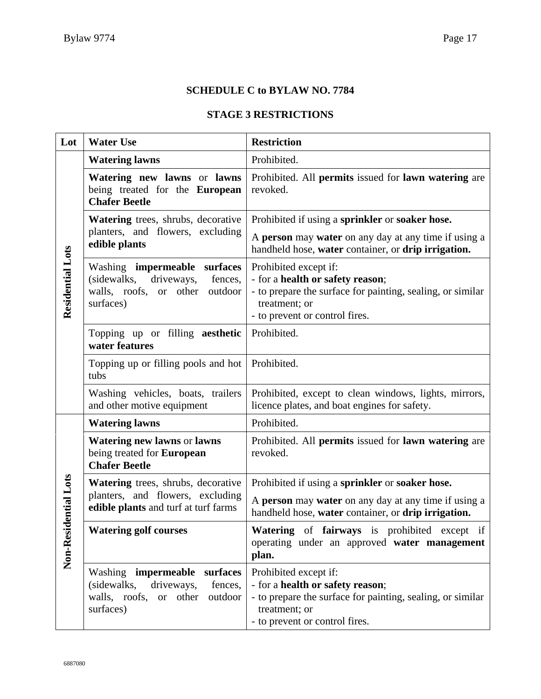#### **SCHEDULE C to BYLAW NO. 7784**

### **STAGE 3 RESTRICTIONS**

| Lot                     | <b>Water Use</b>                                                                                                                    | <b>Restriction</b>                                                                                                                                                         |
|-------------------------|-------------------------------------------------------------------------------------------------------------------------------------|----------------------------------------------------------------------------------------------------------------------------------------------------------------------------|
| <b>Residential Lots</b> | <b>Watering lawns</b>                                                                                                               | Prohibited.                                                                                                                                                                |
|                         | Watering new lawns or lawns<br>being treated for the European<br><b>Chafer Beetle</b>                                               | Prohibited. All permits issued for lawn watering are<br>revoked.                                                                                                           |
|                         | Watering trees, shrubs, decorative<br>planters, and flowers, excluding<br>edible plants                                             | Prohibited if using a sprinkler or soaker hose.<br>A person may water on any day at any time if using a<br>handheld hose, water container, or drip irrigation.             |
|                         | Washing impermeable surfaces<br>(sidewalks,<br>driveways,<br>fences,<br>walls, roofs,<br>other<br>outdoor<br><b>or</b><br>surfaces) | Prohibited except if:<br>- for a health or safety reason;<br>- to prepare the surface for painting, sealing, or similar<br>treatment; or<br>- to prevent or control fires. |
|                         | Topping up or filling aesthetic<br>water features                                                                                   | Prohibited.                                                                                                                                                                |
|                         | Topping up or filling pools and hot<br>tubs                                                                                         | Prohibited.                                                                                                                                                                |
|                         | Washing vehicles, boats, trailers<br>and other motive equipment                                                                     | Prohibited, except to clean windows, lights, mirrors,<br>licence plates, and boat engines for safety.                                                                      |
| Non-Residential Lots    | <b>Watering lawns</b>                                                                                                               | Prohibited.                                                                                                                                                                |
|                         | <b>Watering new lawns or lawns</b><br>being treated for European<br><b>Chafer Beetle</b>                                            | Prohibited. All permits issued for lawn watering are<br>revoked.                                                                                                           |
|                         | Watering trees, shrubs, decorative                                                                                                  | Prohibited if using a sprinkler or soaker hose.                                                                                                                            |
|                         | planters, and flowers, excluding<br>edible plants and turf at turf farms                                                            | A person may water on any day at any time if using a<br>handheld hose, water container, or drip irrigation.                                                                |
|                         | <b>Watering golf courses</b>                                                                                                        | Watering of fairways is prohibited except if<br>operating under an approved water management<br>plan.                                                                      |
|                         | Washing <b>impermeable</b><br>surfaces<br>(sidewalks, driveways,<br>fences,<br>walls, roofs, or other<br>outdoor<br>surfaces)       | Prohibited except if:<br>- for a health or safety reason;<br>- to prepare the surface for painting, sealing, or similar<br>treatment; or<br>- to prevent or control fires. |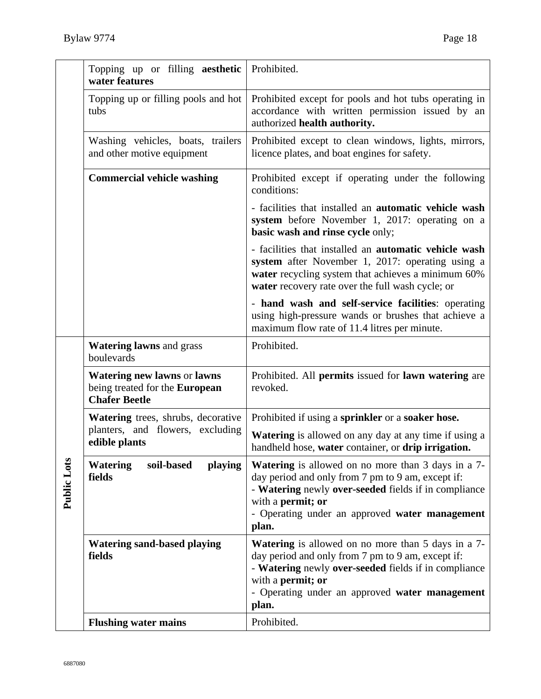|             | Topping up or filling aesthetic<br>water features                                       | Prohibited.                                                                                                                                                                                                                                            |
|-------------|-----------------------------------------------------------------------------------------|--------------------------------------------------------------------------------------------------------------------------------------------------------------------------------------------------------------------------------------------------------|
|             | Topping up or filling pools and hot<br>tubs                                             | Prohibited except for pools and hot tubs operating in<br>accordance with written permission issued by an<br>authorized health authority.                                                                                                               |
|             | Washing vehicles, boats, trailers<br>and other motive equipment                         | Prohibited except to clean windows, lights, mirrors,<br>licence plates, and boat engines for safety.                                                                                                                                                   |
|             | <b>Commercial vehicle washing</b>                                                       | Prohibited except if operating under the following<br>conditions:                                                                                                                                                                                      |
|             |                                                                                         | - facilities that installed an <b>automatic vehicle wash</b><br>system before November 1, 2017: operating on a<br>basic wash and rinse cycle only;                                                                                                     |
|             |                                                                                         | - facilities that installed an <b>automatic vehicle wash</b><br>system after November 1, 2017: operating using a<br>water recycling system that achieves a minimum 60%<br>water recovery rate over the full wash cycle; or                             |
|             |                                                                                         | - hand wash and self-service facilities: operating<br>using high-pressure wands or brushes that achieve a<br>maximum flow rate of 11.4 litres per minute.                                                                                              |
|             | <b>Watering lawns and grass</b><br>boulevards                                           | Prohibited.                                                                                                                                                                                                                                            |
|             | Watering new lawns or lawns<br>being treated for the European<br><b>Chafer Beetle</b>   | Prohibited. All permits issued for lawn watering are<br>revoked.                                                                                                                                                                                       |
|             | Watering trees, shrubs, decorative<br>planters, and flowers, excluding<br>edible plants | Prohibited if using a sprinkler or a soaker hose.                                                                                                                                                                                                      |
| Public Lots |                                                                                         | <b>Watering</b> is allowed on any day at any time if using a<br>handheld hose, water container, or drip irrigation.                                                                                                                                    |
|             | <b>Watering</b><br>soil-based<br>playing<br>fields                                      | <b>Watering</b> is allowed on no more than 3 days in a 7-<br>day period and only from 7 pm to 9 am, except if:<br>- Watering newly over-seeded fields if in compliance<br>with a permit; or<br>- Operating under an approved water management<br>plan. |
|             | <b>Watering sand-based playing</b><br>fields                                            | <b>Watering</b> is allowed on no more than 5 days in a 7-<br>day period and only from 7 pm to 9 am, except if:<br>- Watering newly over-seeded fields if in compliance<br>with a permit; or<br>- Operating under an approved water management<br>plan. |
|             | <b>Flushing water mains</b>                                                             | Prohibited.                                                                                                                                                                                                                                            |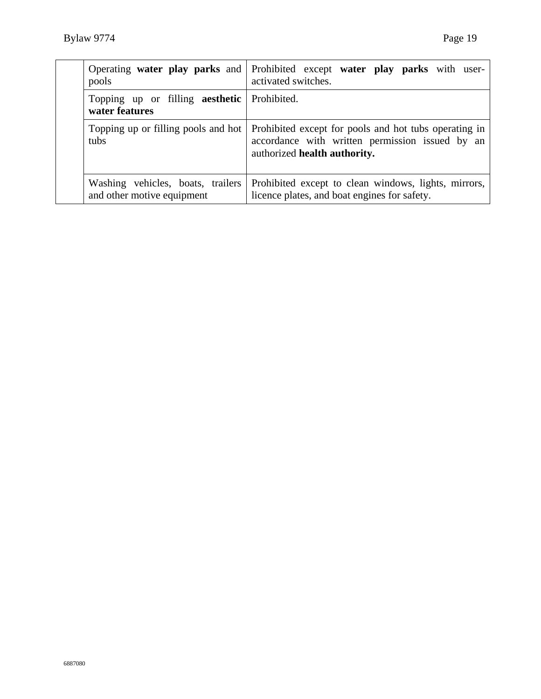| pools                                                                | Operating water play parks and Prohibited except water play parks with user-<br>activated switches.                                      |
|----------------------------------------------------------------------|------------------------------------------------------------------------------------------------------------------------------------------|
| Topping up or filling <b>aesthetic</b> Prohibited.<br>water features |                                                                                                                                          |
| Topping up or filling pools and hot<br>tubs                          | Prohibited except for pools and hot tubs operating in<br>accordance with written permission issued by an<br>authorized health authority. |
| Washing vehicles, boats, trailers<br>and other motive equipment      | Prohibited except to clean windows, lights, mirrors,<br>licence plates, and boat engines for safety.                                     |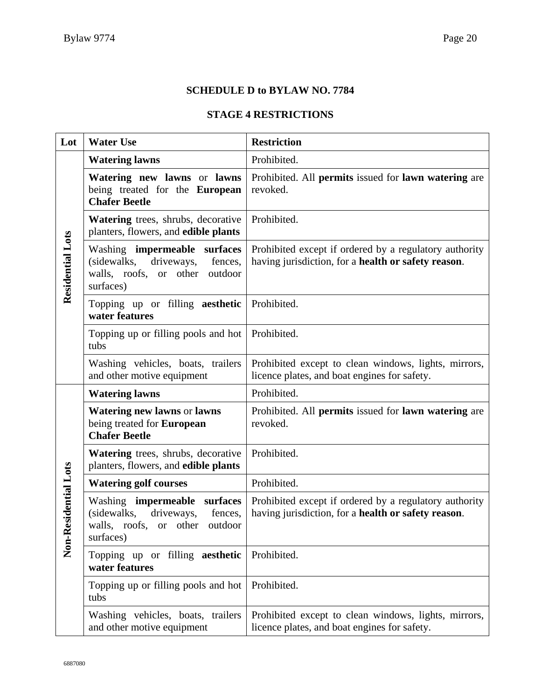### **SCHEDULE D to BYLAW NO. 7784**

#### **STAGE 4 RESTRICTIONS**

| Lot                      | <b>Water Use</b>                                                                                                       | <b>Restriction</b>                                                                                            |
|--------------------------|------------------------------------------------------------------------------------------------------------------------|---------------------------------------------------------------------------------------------------------------|
| <b>Residential Lots</b>  | <b>Watering lawns</b>                                                                                                  | Prohibited.                                                                                                   |
|                          | Watering new lawns or lawns<br>being treated for the European<br><b>Chafer Beetle</b>                                  | Prohibited. All permits issued for lawn watering are<br>revoked.                                              |
|                          | Watering trees, shrubs, decorative<br>planters, flowers, and edible plants                                             | Prohibited.                                                                                                   |
|                          | Washing impermeable surfaces<br>driveways,<br>(sidewalks,<br>fences,<br>walls, roofs, or other<br>outdoor<br>surfaces) | Prohibited except if ordered by a regulatory authority<br>having jurisdiction, for a health or safety reason. |
|                          | Topping up or filling aesthetic<br>water features                                                                      | Prohibited.                                                                                                   |
|                          | Topping up or filling pools and hot<br>tubs                                                                            | Prohibited.                                                                                                   |
|                          | Washing vehicles, boats, trailers<br>and other motive equipment                                                        | Prohibited except to clean windows, lights, mirrors,<br>licence plates, and boat engines for safety.          |
|                          | <b>Watering lawns</b>                                                                                                  | Prohibited.                                                                                                   |
|                          | <b>Watering new lawns or lawns</b><br>being treated for European<br><b>Chafer Beetle</b>                               | Prohibited. All permits issued for lawn watering are<br>revoked.                                              |
|                          | Watering trees, shrubs, decorative<br>planters, flowers, and edible plants                                             | Prohibited.                                                                                                   |
|                          | <b>Watering golf courses</b>                                                                                           | Prohibited.                                                                                                   |
| esidential Lots<br>Non-R | Washing impermeable surfaces<br>(sidewalks,<br>driveways,<br>fences,<br>walls, roofs, or other<br>outdoor<br>surfaces) | Prohibited except if ordered by a regulatory authority<br>having jurisdiction, for a health or safety reason. |
|                          | Topping up or filling aesthetic<br>water features                                                                      | Prohibited.                                                                                                   |
|                          | Topping up or filling pools and hot<br>tubs                                                                            | Prohibited.                                                                                                   |
|                          | Washing vehicles, boats, trailers<br>and other motive equipment                                                        | Prohibited except to clean windows, lights, mirrors,<br>licence plates, and boat engines for safety.          |